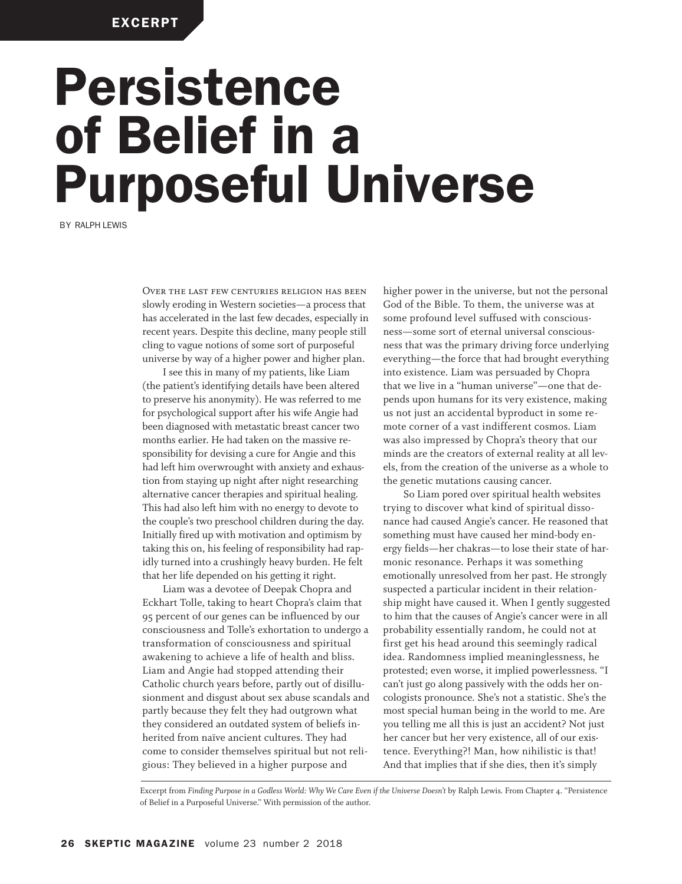## **of Belief in a Persistence Purposeful Universe**

BY RALPH LEWIS

Over the last few centuries religion has been slowly eroding in Western societies—a process that has accelerated in the last few decades, especially in recent years. Despite this decline, many people still cling to vague notions of some sort of purposeful universe by way of a higher power and higher plan.

 I see this in many of my patients, like Liam (the patient's identifying details have been altered to preserve his anonymity). He was referred to me for psychological support after his wife Angie had been diagnosed with metastatic breast cancer two months earlier. He had taken on the massive re- sponsibility for devising a cure for Angie and this had left him overwrought with anxiety and exhaus- tion from staying up night after night researching alternative cancer therapies and spiritual healing. This had also left him with no energy to devote to the couple's two preschool children during the day. Initially fired up with motivation and optimism by taking this on, his feeling of responsibility had rap- idly turned into a crushingly heavy burden. He felt that her life depended on his getting it right.

 Liam was a devotee of Deepak Chopra and Eckhart Tolle, taking to heart Chopra's claim that 95 percent of our genes can be influenced by our consciousness and Tolle's exhortation to undergo a transformation of consciousness and spiritual awakening to achieve a life of health and bliss. Liam and Angie had stopped attending their Catholic church years before, partly out of disillu- sionment and disgust about sex abuse scandals and partly because they felt they had outgrown what they considered an outdated system of beliefs in- herited from naïve ancient cultures. They had come to consider themselves spiritual but not reli-gious: They believed in a higher purpose and

 higher power in the universe, but not the personal God of the Bible. To them, the universe was at some profound level suffused with conscious- ness—some sort of eternal universal conscious- ness that was the primary driving force underlying everything—the force that had brought everything into existence. Liam was persuaded by Chopra that we live in a "human universe"—one that de- pends upon humans for its very existence, making -<br>us not just an accidental byproduct in some re- mote corner of a vast indifferent cosmos. Liam was also impressed by Chopra's theory that our minds are the creators of external reality at all lev- els, from the creation of the universe as a whole to the genetic mutations causing cancer.

 So Liam pored over spiritual health websites trying to discover what kind of spiritual disso- nance had caused Angie's cancer. He reasoned that something must have caused her mind-body en- ergy fields—her chakras—to lose their state of har- monic resonance. Perhaps it was something emotionally unresolved from her past. He strongly suspected a particular incident in their relation- ship might have caused it. When I gently suggested to him that the causes of Angie's cancer were in all probability essentially random, he could not at first get his head around this seemingly radical idea. Randomness implied meaninglessness, he protested; even worse, it implied powerlessness. "I can't just go along passively with the odds her on- cologists pronounce. She's not a statistic. She's the most special human being in the world to me. Are you telling me all this is just an accident? Not just her cancer but her very existence, all of our exis- tence. Everything?! Man, how nihilistic is that! And that implies that if she dies, then it's simply

 Excerpt from *Finding Purpose in a odless World: Why We Care Even if the Universe Doesn't* by Ralph Lewis. From Chapter 4. "Persistence of Belief in a Purposeful Universe." With permission of the author.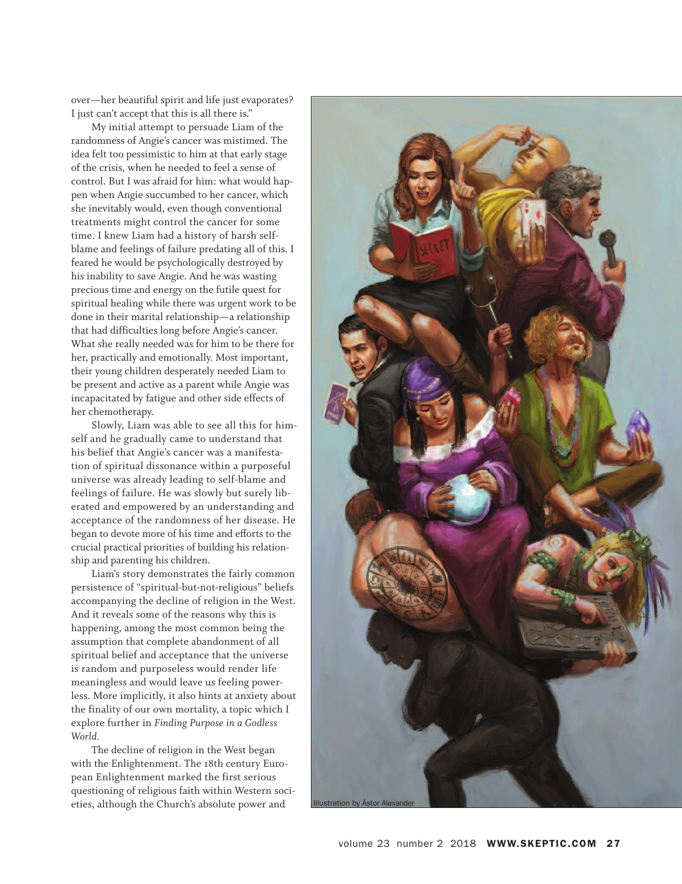over—her beautiful spirit and life just evaporates? I just can't accept that this is all there is."

 My initial attempt to persuade Liam of the randomness of Angie's cancer was mistimed. The idea felt too pessimistic to him at that early stage of the crisis, when he needed to feel a sense of control. But I was afraid for him: what would hap- pen when Angie succumbed to her cancer, which she inevitably would, even though conventional treatments might control the cancer for some time. I knew Liam had a history of harsh self- blame and feelings of failure predating all of this. I feared he would be psychologically destroyed by his inability to save Angie. And he was wasting precious time and energy on the futile quest for spiritual healing while there was urgent work to be done in their marital relationship—a relationship that had difficulties long before Angie's cancer. What she really needed was for him to be there for her, practically and emotionally. Most important, their young children desperately needed Liam to be present and active as a parent while Angie was incapacitated by fatigue and other side effects of her chemotherapy.

 Slowly, Liam was able to see all this for him- self and he gradually came to understand that his belief that Angie's cancer was a manifesta- tion of spiritual dissonance within a purposeful universe was already leading to self-blame and feelings of failure. He was slowly but surely lib- erated and empowered by an understanding and acceptance of the randomness of her disease. He began to devote more of his time and eforts to the crucial practical priorities of building his relation-ship and parenting his children.

 Liam's story demonstrates the fairly common persistence of "spiritual-but-not-religious" beliefs accompanying the decline of religion in the West. And it reveals some of the reasons why this is happening, among the most common being the assumption that complete abandonment of all spiritual belief and acceptance that the universe is random and purposeless would render life meaningless and would leave us feeling power- less. More implicitly, it also hints at anxiety about the finality of our own mortality, a topic which I explore further in *Finding Purpose in a odless World.*

 The decline of religion in the West began with the Enlightenment. The 18th century Euro- pean Enlightenment marked the first serious -<br>questioning of religious faith within Western societies, although the Church's absolute power and Illustration by Astor Alexander



**Ilustration by Ásto**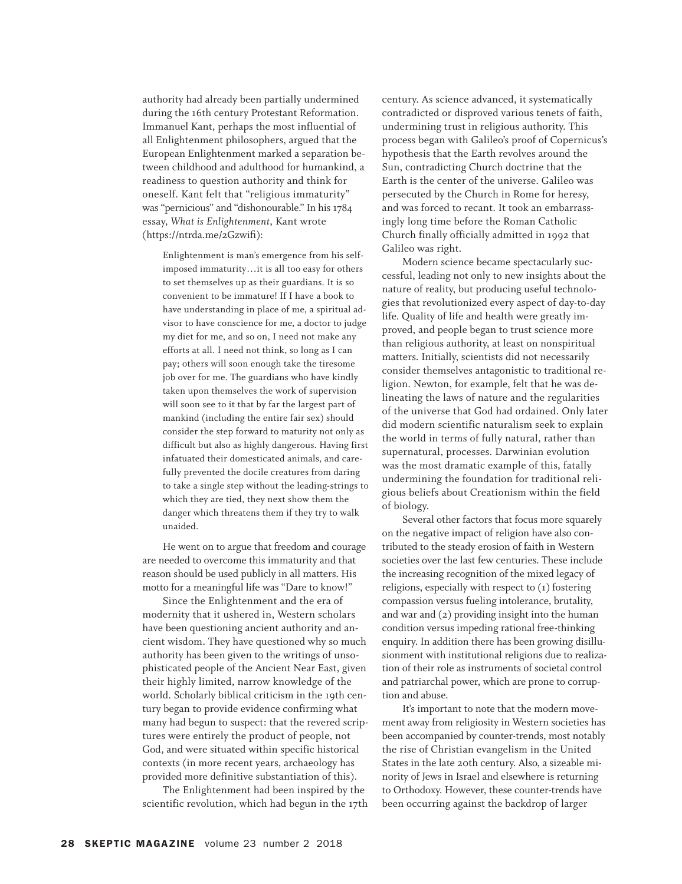authority had already been partially undermined during the 16th century Protestant Reformation. Immanuel Kant, perhaps the most influential of all Enlightenment philosophers, argued that the European Enlightenment marked a separation be- tween childhood and adulthood for humankind, a readiness to question authority and think for oneself. Kant felt that "religious immaturity" was "pernicious" and "dishonourable." In his 1784  essay, *What is Enlightenment*, Kant wrote  $(https://ntrda.me/2Gzwifi):$ 

 Enlightenment is man's emergence from his self- imposed immaturity…it is all too easy for others to set themselves up as their guardians. It is so convenient to be immature! If I have a book to have understanding in place of me, a spiritual ad- visor to have conscience for me, a doctor to judge my diet for me, and so on, I need not make any efforts at all. I need not think, so long as I can pay; others will soon enough take the tiresome job over for me. The guardians who have kindly taken upon themselves the work of supervision will soon see to it that by far the largest part of mankind (including the entire fair sex) should consider the step forward to maturity not only as difficult but also as highly dangerous. Having first infatuated their domesticated animals, and care- fully prevented the docile creatures from daring to take a single step without the leading-strings to which they are tied, they next show them the danger which threatens them if they try to walk unaided.

 He went on to argue that freedom and courage are needed to overcome this immaturity and that reason should be used publicly in all matters. His motto for a meaningful life was "Dare to know!"

 Since the Enlightenment and the era of modernity that it ushered in, Western scholars have been questioning ancient authority and an- cient wisdom. They have questioned why so much authority has been given to the writings of unso- phisticated people of the Ancient Near East, given their highly limited, narrow knowledge of the world. Scholarly biblical criticism in the 19th cen- tury began to provide evidence confirming what many had begun to suspect: that the revered scrip- tures were entirely the product of people, not God, and were situated within specific historical contexts (in more recent years, archaeology has provided more definitive substantiation of this).

 The Enlightenment had been inspired by the scientific revolution, which had begun in the 17th  century. As science advanced, it systematically contradicted or disproved various tenets of faith, undermining trust in religious authority. This process began with Galileo's proof of Copernicus's hypothesis that the Earth revolves around the Sun, contradicting Church doctrine that the Earth is the center of the universe. Galileo was persecuted by the Church in Rome for heresy, <u>.</u><br>and was forced to recant. It took an embarrass- ingly long time before the Roman Catholic Church finally officially admitted in 1992 that Galileo was right.

 Modern science became spectacularly suc- cessful, leading not only to new insights about the nature of reality, but producing useful technolo- gies that revolutionized every aspect of day-to-day life. Quality of life and health were greatly im- proved, and people began to trust science more than religious authority, at least on nonspiritual matters. Initially, scientists did not necessarily consider themselves antagonistic to traditional re- ligion. Newton, for example, felt that he was de- lineating the laws of nature and the regularities of the universe that God had ordained. Only later did modern scientific naturalism seek to explain the world in terms of fully natural, rather than supernatural, processes. Darwinian evolution was the most dramatic example of this, fatally undermining the foundation for traditional reli- gious beliefs about Creationism within the field of biology.

Several other factors that focus more squarely on the negative impact of religion have also con- tributed to the steady erosion of faith in Western societies over the last few centuries. These include the increasing recognition of the mixed legacy of religions, especially with respect to (1) fostering compassion versus fueling intolerance, brutality, and war and (2) providing insight into the human condition versus impeding rational free-thinking enquiry. In addition there has been growing disillu- sionment with institutional religions due to realiza- tion of their role as instruments of societal control and patriarchal power, which are prone to corrup-tion and abuse.

 It's important to note that the modern move- ment away from religiosity in Western societies has been accompanied by counter-trends, most notably the rise of Christian evangelism in the United States in the late 20th century. Also, a sizeable mi- nority of Jews in Israel and elsewhere is returning to Orthodoxy. However, these counter-trends have been occurring against the backdrop of larger